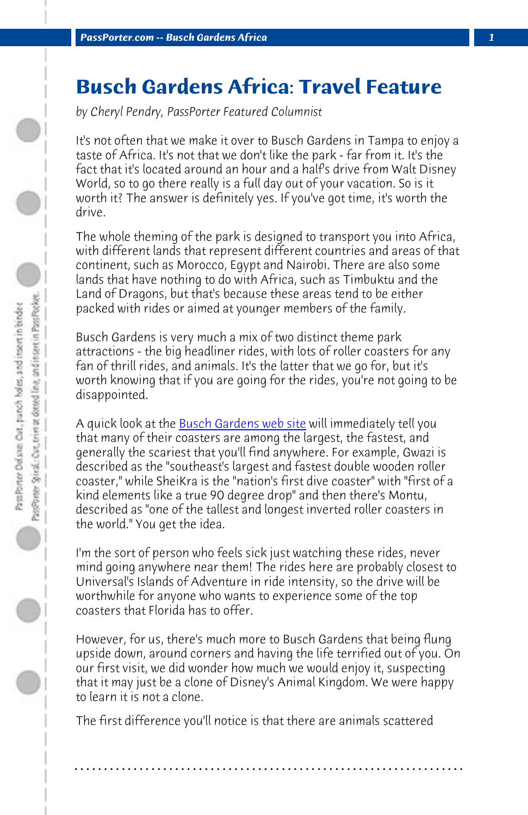*PassPorter.com -- Busch Gardens Africa 1*

## **Busch Gardens Africa: Travel Feature**

*by Cheryl Pendry, PassPorter Featured Columnist*

It's not often that we make it over to Busch Gardens in Tampa to enjoy a taste of Africa. It's not that we don't like the park - far from it. It's the fact that it's located around an hour and a half's drive from Walt Disney World, so to go the[re really is a full day out o](http://www.buschgardens.com/BGT/default.aspx)f your vacation. So is it worth it? The answer is definitely yes. If you've got time, it's worth the drive.

The whole theming of the park is designed to transport you into Africa, with different lands that represent different countries and areas of that continent, such as Morocco, Egypt and Nairobi. There are also some lands that have nothing to do with Africa, such as Timbuktu and the Land of Dragons, but that's because these areas tend to be either packed with rides or aimed at younger members of the family.

Busch Gardens is very much a mix of two distinct theme park attractions - the big headliner rides, with lots of roller coasters for any fan of thrill rides, and animals. It's the latter that we go for, but it's worth knowing that if you are going for the rides, you're not going to be disappointed.

A quick look at the <u>Busch Gardens web site</u> will immediately tell you that many of their coasters are among the largest, the fastest, and generally the scariest that you'll find anywhere. For example, Gwazi is described as the "southeast's largest and fastest double wooden roller coaster," while SheiKra is the "nation's first dive coaster" with "first of a kind elements like a true 90 degree drop" and then there's Montu, described as "one of the tallest and longest inverted roller coasters in the world." You get the idea.

I'm the sort of person who feels sick just watching these rides, never mind going anywhere near them! The rides here are probably closest to Universal's Islands of Adventure in ride intensity, so the drive will be worthwhile for anyone who wants to experience some of the top coasters that Florida has to offer.

However, for us, there's much more to Busch Gardens that being flung upside down, around corners and having the life terrified out of you. On our first visit, we did wonder how much we would enjoy it, suspecting that it may just be a clone of Disney's Animal Kingdom. We were happy to learn it is not a clone.

**. . . . . . . . . . . . . . . . . . . . . . . . . . . . . . . . . . . . . . . . . . . . . . . . . . . . . . . . . . . . . . . . . .**

The first difference you'll notice is that there are animals scattered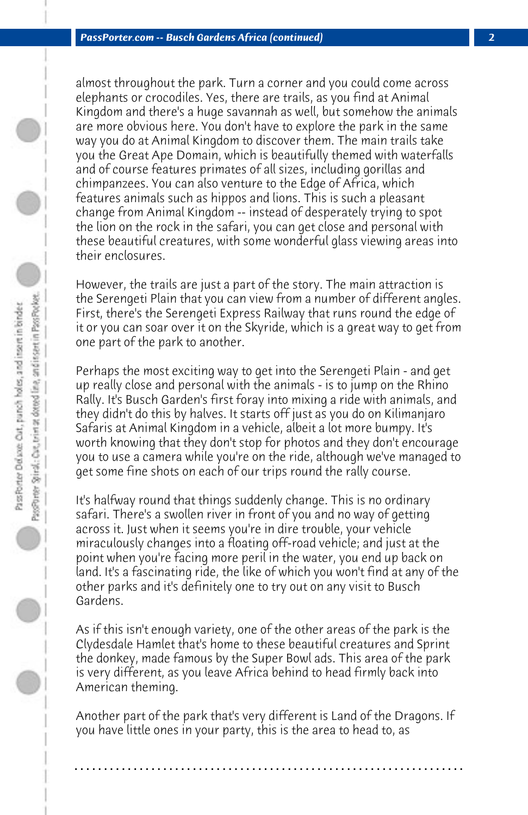almost throughout the park. Turn a corner and you could come across elephants or crocodiles. Yes, there are trails, as you find at Animal Kingdom and there's a huge savannah as well, but somehow the animals are more obvious here. You don't have to explore the park in the same way you do at Animal Kingdom to discover them. The main trails take you the Great Ape Domain, which is beautifully themed with waterfalls and of course features primates of all sizes, including gorillas and chimpanzees. You can also venture to the Edge of Africa, which features animals such as hippos and lions. This is such a pleasant change from Animal Kingdom -- instead of desperately trying to spot the lion on the rock in the safari, you can get close and personal with these beautiful creatures, with some wonderful glass viewing areas into their enclosures.

However, the trails are just a part of the story. The main attraction is the Serengeti Plain that you can view from a number of different angles. First, there's the Serengeti Express Railway that runs round the edge of it or you can soar over it on the Skyride, which is a great way to get from one part of the park to another.

Perhaps the most exciting way to get into the Serengeti Plain - and get up really close and personal with the animals - is to jump on the Rhino Rally. It's Busch Garden's first foray into mixing a ride with animals, and they didn't do this by halves. It starts off just as you do on Kilimanjaro Safaris at Animal Kingdom in a vehicle, albeit a lot more bumpy. It's worth knowing that they don't stop for photos and they don't encourage you to use a camera while you're on the ride, although we've managed to get some fine shots on each of our trips round the rally course.

It's halfway round that things suddenly change. This is no ordinary safari. There's a swollen river in front of you and no way of getting across it. Just when it seems you're in dire trouble, your vehicle miraculously changes into a floating off-road vehicle; and just at the point when you're facing more peril in the water, you end up back on land. It's a fascinating ride, the like of which you won't find at any of the other parks and it's definitely one to try out on any visit to Busch Gardens.

As if this isn't enough variety, one of the other areas of the park is the Clydesdale Hamlet that's home to these beautiful creatures and Sprint the donkey, made famous by the Super Bowl ads. This area of the park is very different, as you leave Africa behind to head firmly back into American theming.

Another part of the park that's very different is Land of the Dragons. If you have little ones in your party, this is the area to head to, as

**. . . . . . . . . . . . . . . . . . . . . . . . . . . . . . . . . . . . . . . . . . . . . . . . . . . . . . . . . . . . . . . . . .**